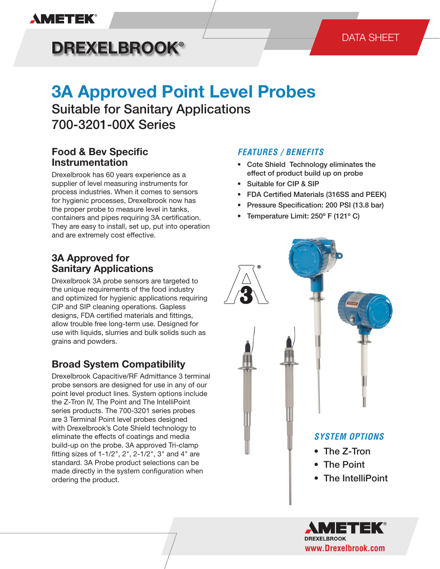

## DATA SHEET

# **DREXELBROOK®**

# **3A Approved Point Level Probes**

Suitable for Sanitary Applications 700-3201-00X Series

# **Food & Bev Specific Instrumentation**

Drexelbrook has 60 years experience as a supplier of level measuring instruments for process industries. When it comes to sensors for hygienic processes, Drexelbrook now has the proper probe to measure level in tanks, containers and pipes requiring 3A certification. They are easy to install, set up, put into operation and are extremely cost effective.

## **3A Approved for Sanitary Applications**

Drexelbrook 3A probe sensors are targeted to the unique requirements of the food industry and optimized for hygienic applications requiring CIP and SIP cleaning operations. Gapless designs, FDA certified materials and fittings, allow trouble free long-term use. Designed for use with liquids, slurries and bulk solids such as grains and powders.

# **Broad System Compatibility**

Drexelbrook Capacitive/RF Admittance 3 terminal probe sensors are designed for use in any of our point level product lines. System options include the Z-Tron IV, The Point and The IntelliPoint series products. The 700-3201 series probes are 3 Terminal Point level probes designed with Drexelbrook's Cote Shield technology to eliminate the effects of coatings and media build-up on the probe. 3A approved Tri-clamp fitting sizes of 1-1/2", 2", 2-1/2", 3" and 4" are standard. 3A Probe product selections can be made directly in the system configuration when ordering the product.

#### *FEATURES / BENEFITS*

- Cote Shield Technology eliminates the effect of product build up on probe
- Suitable for CIP & SIP
- FDA Certified Materials (316SS and PEEK)
- Pressure Specification: 200 PSI (13.8 bar)
- Temperature Limit: 250º F (121º C)